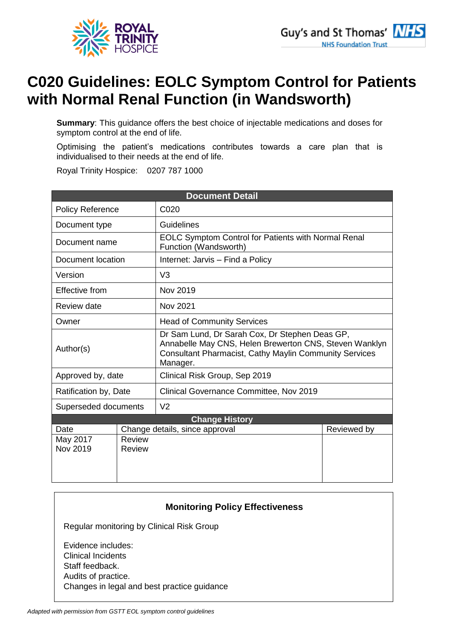

# **C020 Guidelines: EOLC Symptom Control for Patients with Normal Renal Function (in Wandsworth)**

**Summary**: This guidance offers the best choice of injectable medications and doses for symptom control at the end of life.

Optimising the patient's medications contributes towards a care plan that is individualised to their needs at the end of life.

Royal Trinity Hospice: 0207 787 1000

| <b>Document Detail</b>  |               |                                                                                                                                                                                       |             |
|-------------------------|---------------|---------------------------------------------------------------------------------------------------------------------------------------------------------------------------------------|-------------|
| <b>Policy Reference</b> |               | C020                                                                                                                                                                                  |             |
| Document type           |               | Guidelines                                                                                                                                                                            |             |
| Document name           |               | <b>EOLC Symptom Control for Patients with Normal Renal</b><br>Function (Wandsworth)                                                                                                   |             |
| Document location       |               | Internet: Jarvis - Find a Policy                                                                                                                                                      |             |
| Version                 |               | V <sub>3</sub>                                                                                                                                                                        |             |
| Effective from          |               | Nov 2019                                                                                                                                                                              |             |
| Review date             |               | Nov 2021                                                                                                                                                                              |             |
| Owner                   |               | <b>Head of Community Services</b>                                                                                                                                                     |             |
| Author(s)               |               | Dr Sam Lund, Dr Sarah Cox, Dr Stephen Deas GP,<br>Annabelle May CNS, Helen Brewerton CNS, Steven Wanklyn<br><b>Consultant Pharmacist, Cathy Maylin Community Services</b><br>Manager. |             |
| Approved by, date       |               | Clinical Risk Group, Sep 2019                                                                                                                                                         |             |
| Ratification by, Date   |               | Clinical Governance Committee, Nov 2019                                                                                                                                               |             |
| Superseded documents    |               | V <sub>2</sub>                                                                                                                                                                        |             |
| <b>Change History</b>   |               |                                                                                                                                                                                       |             |
| Date                    |               | Change details, since approval                                                                                                                                                        | Reviewed by |
| May 2017                | <b>Review</b> |                                                                                                                                                                                       |             |
| Nov 2019                | Review        |                                                                                                                                                                                       |             |
|                         |               |                                                                                                                                                                                       |             |
|                         |               |                                                                                                                                                                                       |             |

### **Monitoring Policy Effectiveness**

Regular monitoring by Clinical Risk Group

Evidence includes: • Clinical Incidents Staff feedback. • Audits of practice. • Changes in legal and best practice guidance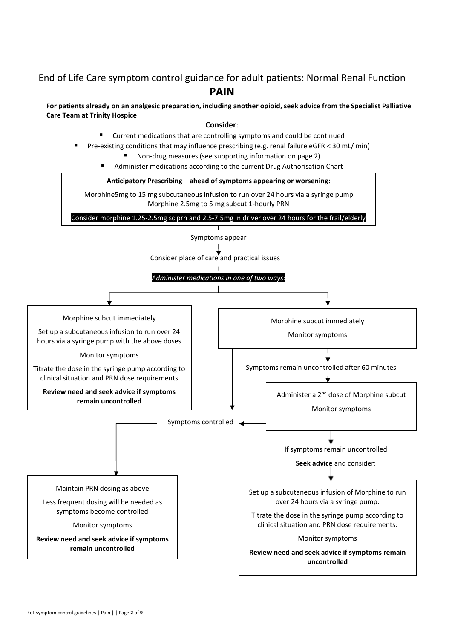## End of Life Care symptom control guidance for adult patients: Normal Renal Function **PAIN**

#### **For patients already on an analgesic preparation, including another opioid, seek advice from the Specialist Palliative Care Team at Trinity Hospice**

#### **Consider**:

- Current medications that are controlling symptoms and could be continued
- Pre-existing conditions that may influence prescribing (e.g. renal failure eGFR < 30 mL/ min)
	- Non-drug measures (see supporting information on page 2)
	- Administer medications according to the current Drug Authorisation Chart



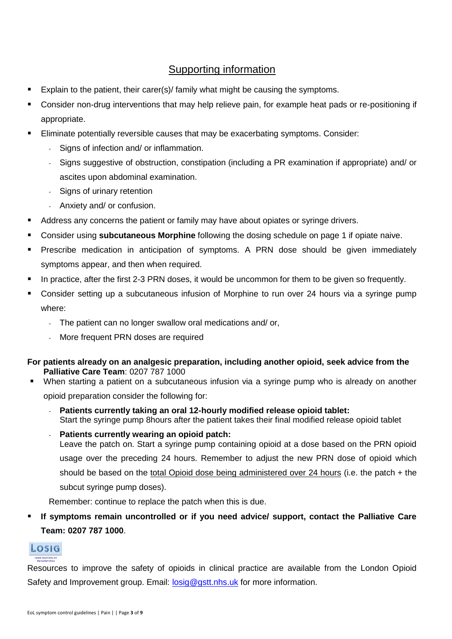- Explain to the patient, their carer(s)/ family what might be causing the symptoms.
- Consider non-drug interventions that may help relieve pain, for example heat pads or re-positioning if appropriate.
- Eliminate potentially reversible causes that may be exacerbating symptoms. Consider:
	- Signs of infection and/ or inflammation.
	- Signs suggestive of obstruction, constipation (including a PR examination if appropriate) and/ or ascites upon abdominal examination.
	- Signs of urinary retention
	- Anxiety and/ or confusion.
- Address any concerns the patient or family may have about opiates or syringe drivers.
- Consider using **subcutaneous Morphine** following the dosing schedule on page 1 if opiate naive.
- Prescribe medication in anticipation of symptoms. A PRN dose should be given immediately symptoms appear, and then when required.
- In practice, after the first 2-3 PRN doses, it would be uncommon for them to be given so frequently.
- Consider setting up a subcutaneous infusion of Morphine to run over 24 hours via a syringe pump where:
	- The patient can no longer swallow oral medications and/ or,
	- More frequent PRN doses are required

### **For patients already on an analgesic preparation, including another opioid, seek advice from the Palliative Care Team**: 0207 787 1000

- When starting a patient on a subcutaneous infusion via a syringe pump who is already on another opioid preparation consider the following for:
	- **Patients currently taking an oral 12-hourly modified release opioid tablet:** Start the syringe pump 8hours after the patient takes their final modified release opioid tablet
	- **Patients currently wearing an opioid patch:** Leave the patch on. Start a syringe pump containing opioid at a dose based on the PRN opioid usage over the preceding 24 hours. Remember to adjust the new PRN dose of opioid which should be based on the total Opioid dose being administered over 24 hours (i.e. the patch + the subcut syringe pump doses).

Remember: continue to replace the patch when this is due.

If symptoms remain uncontrolled or if you need advice/ support, contact the Palliative Care **Team: 0207 787 1000**.



Resources to improve the safety of opioids in clinical practice are available from the London Opioid Safety and Improvement group. Email: [losig@gstt.nhs.uk](mailto:losig@gstt.nhs.uk) for more information.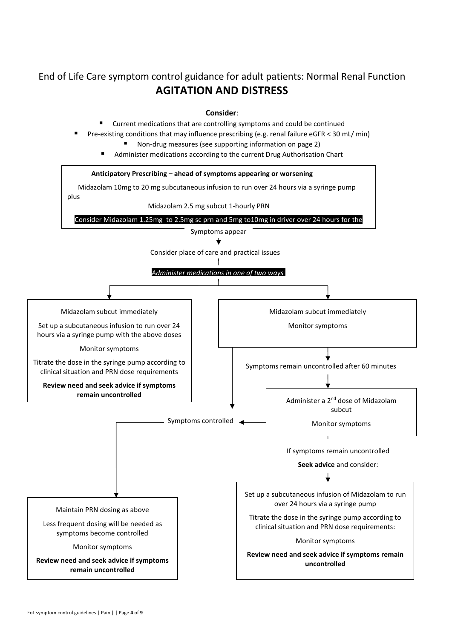# End of Life Care symptom control guidance for adult patients: Normal Renal Function **AGITATION AND DISTRESS**

#### **Consider**:

- Current medications that are controlling symptoms and could be continued
- Pre-existing conditions that may influence prescribing (e.g. renal failure eGFR < 30 mL/ min)
	- Non-drug measures (see supporting information on page 2)
	- Administer medications according to the current Drug Authorisation Chart

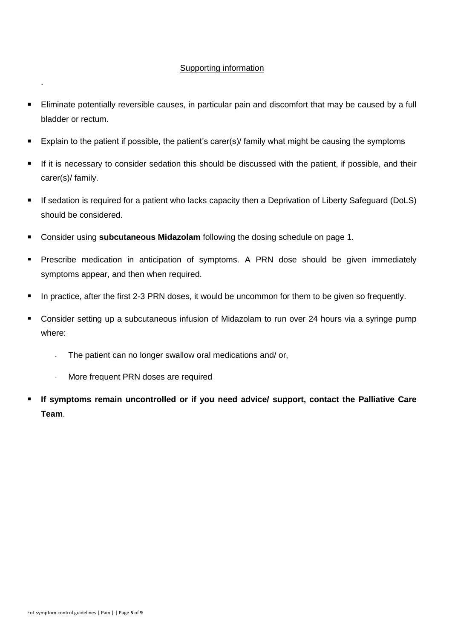- Eliminate potentially reversible causes, in particular pain and discomfort that may be caused by a full bladder or rectum.
- Explain to the patient if possible, the patient's carer(s)/ family what might be causing the symptoms
- If it is necessary to consider sedation this should be discussed with the patient, if possible, and their carer(s)/ family.
- If sedation is required for a patient who lacks capacity then a Deprivation of Liberty Safeguard (DoLS) should be considered.
- Consider using **subcutaneous Midazolam** following the dosing schedule on page 1.
- Prescribe medication in anticipation of symptoms. A PRN dose should be given immediately symptoms appear, and then when required.
- In practice, after the first 2-3 PRN doses, it would be uncommon for them to be given so frequently.
- Consider setting up a subcutaneous infusion of Midazolam to run over 24 hours via a syringe pump where:
	- The patient can no longer swallow oral medications and/ or,
	- More frequent PRN doses are required
- If symptoms remain uncontrolled or if you need advice/ support, contact the Palliative Care **Team**.

.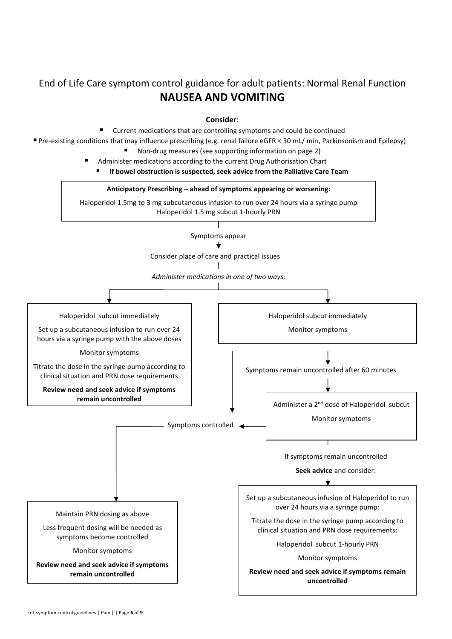# End of Life Care symptom control guidance for adult patients: Normal Renal Function **NAUSEA AND VOMITING**

**Consider**:

Current medications that are controlling symptoms and could be continued

▪ Pre-existing conditions that may influence prescribing (e.g. renal failure eGFR < 30 mL/ min, Parkinsonism and Epilepsy)

- Non-drug measures (see supporting information on page 2)
- Administer medications according to the current Drug Authorisation Chart
	- If bowel obstruction is suspected, seek advice from the Palliative Care Team

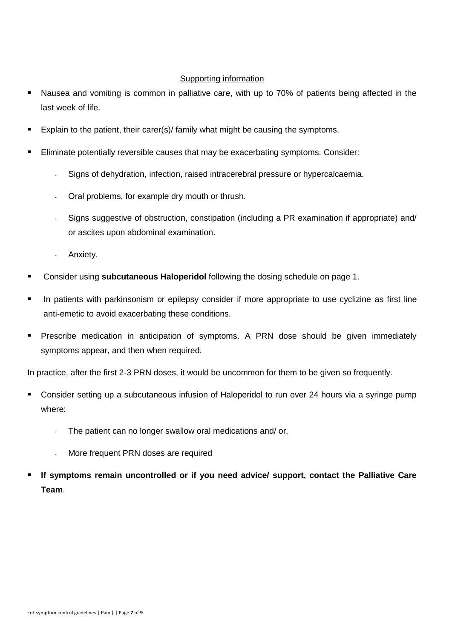- Nausea and vomiting is common in palliative care, with up to 70% of patients being affected in the last week of life.
- Explain to the patient, their carer(s)/ family what might be causing the symptoms.
- Eliminate potentially reversible causes that may be exacerbating symptoms. Consider:
	- Signs of dehydration, infection, raised intracerebral pressure or hypercalcaemia.
	- Oral problems, for example dry mouth or thrush.
	- Signs suggestive of obstruction, constipation (including a PR examination if appropriate) and/ or ascites upon abdominal examination.
	- Anxiety.
- Consider using **subcutaneous Haloperidol** following the dosing schedule on page 1.
- In patients with parkinsonism or epilepsy consider if more appropriate to use cyclizine as first line anti-emetic to avoid exacerbating these conditions.
- **EXPERCRIPEDE EXECTS** Prescribe medication in anticipation of symptoms. A PRN dose should be given immediately symptoms appear, and then when required.

In practice, after the first 2-3 PRN doses, it would be uncommon for them to be given so frequently.

- Consider setting up a subcutaneous infusion of Haloperidol to run over 24 hours via a syringe pump where:
	- The patient can no longer swallow oral medications and/ or,
	- More frequent PRN doses are required
- If symptoms remain uncontrolled or if you need advice/ support, contact the Palliative Care **Team**.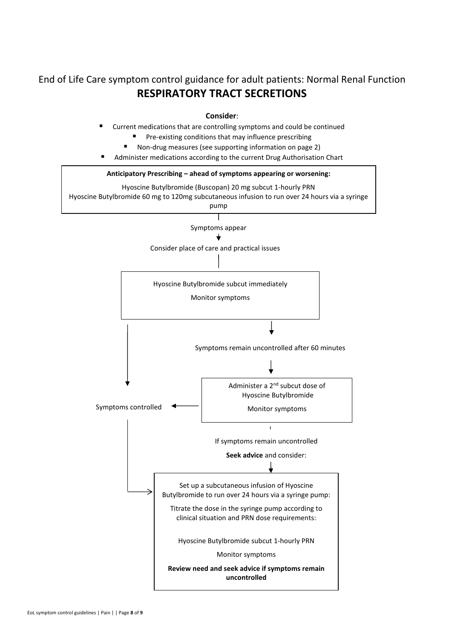End of Life Care symptom control guidance for adult patients: Normal Renal Function **RESPIRATORY TRACT SECRETIONS**